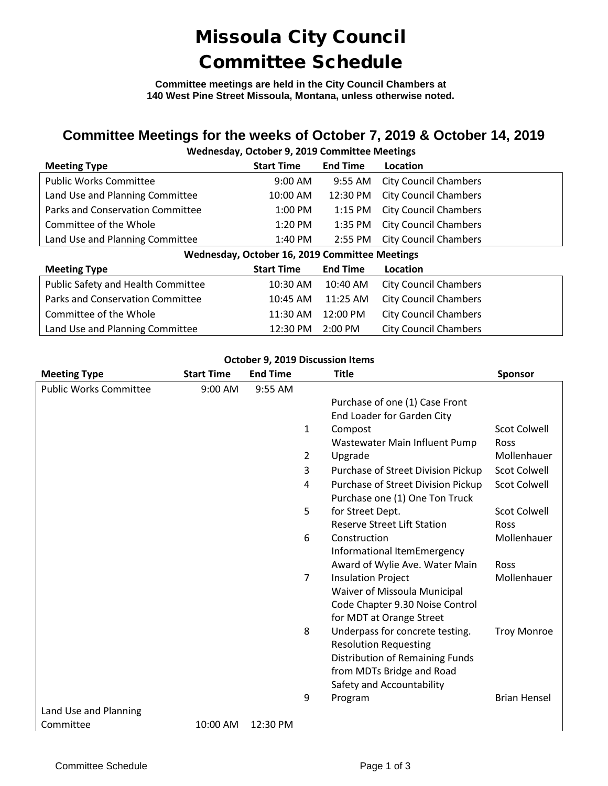## Missoula City Council Committee Schedule

**Committee meetings are held in the City Council Chambers at 140 West Pine Street Missoula, Montana, unless otherwise noted.**

### **Committee Meetings for the weeks of October 7, 2019 & October 14, 2019**

### **Wednesday, October 9, 2019 Committee Meetings**

| <b>Meeting Type</b>                            | <b>Start Time</b> | <b>End Time</b> | Location                     |  |  |  |
|------------------------------------------------|-------------------|-----------------|------------------------------|--|--|--|
| <b>Public Works Committee</b>                  | $9:00$ AM         | 9:55 AM         | <b>City Council Chambers</b> |  |  |  |
| Land Use and Planning Committee                | 10:00 AM          | 12:30 PM        | <b>City Council Chambers</b> |  |  |  |
| Parks and Conservation Committee               | $1:00$ PM         | 1:15 PM         | <b>City Council Chambers</b> |  |  |  |
| Committee of the Whole                         | $1:20$ PM         | 1:35 PM         | <b>City Council Chambers</b> |  |  |  |
| Land Use and Planning Committee                | 1:40 PM           | 2:55 PM         | <b>City Council Chambers</b> |  |  |  |
| Wednesday, October 16, 2019 Committee Meetings |                   |                 |                              |  |  |  |
|                                                |                   |                 |                              |  |  |  |
| <b>Meeting Type</b>                            | <b>Start Time</b> | <b>End Time</b> | Location                     |  |  |  |
| Public Safety and Health Committee             | 10:30 AM          | $10:40$ AM      | <b>City Council Chambers</b> |  |  |  |
| Parks and Conservation Committee               | 10:45 AM          | 11:25 AM        | <b>City Council Chambers</b> |  |  |  |
| Committee of the Whole                         | 11:30 AM          | 12:00 PM        | <b>City Council Chambers</b> |  |  |  |

#### **October 9, 2019 Discussion Items**

| <b>Meeting Type</b>           | <b>Start Time</b> | <b>End Time</b> |   | <b>Title</b>                       | <b>Sponsor</b>      |
|-------------------------------|-------------------|-----------------|---|------------------------------------|---------------------|
| <b>Public Works Committee</b> | 9:00 AM           | 9:55 AM         |   |                                    |                     |
|                               |                   |                 |   | Purchase of one (1) Case Front     |                     |
|                               |                   |                 |   | End Loader for Garden City         |                     |
|                               |                   |                 | 1 | Compost                            | Scot Colwell        |
|                               |                   |                 |   | Wastewater Main Influent Pump      | Ross                |
|                               |                   |                 | 2 | Upgrade                            | Mollenhauer         |
|                               |                   |                 | 3 | Purchase of Street Division Pickup | <b>Scot Colwell</b> |
|                               |                   |                 | 4 | Purchase of Street Division Pickup | <b>Scot Colwell</b> |
|                               |                   |                 |   | Purchase one (1) One Ton Truck     |                     |
|                               |                   |                 | 5 | for Street Dept.                   | <b>Scot Colwell</b> |
|                               |                   |                 |   | <b>Reserve Street Lift Station</b> | Ross                |
|                               |                   |                 | 6 | Construction                       | Mollenhauer         |
|                               |                   |                 |   | Informational ItemEmergency        |                     |
|                               |                   |                 |   | Award of Wylie Ave. Water Main     | Ross                |
|                               |                   |                 | 7 | <b>Insulation Project</b>          | Mollenhauer         |
|                               |                   |                 |   | Waiver of Missoula Municipal       |                     |
|                               |                   |                 |   | Code Chapter 9.30 Noise Control    |                     |
|                               |                   |                 |   | for MDT at Orange Street           |                     |
|                               |                   |                 | 8 | Underpass for concrete testing.    | <b>Troy Monroe</b>  |
|                               |                   |                 |   | <b>Resolution Requesting</b>       |                     |
|                               |                   |                 |   | Distribution of Remaining Funds    |                     |
|                               |                   |                 |   | from MDTs Bridge and Road          |                     |
|                               |                   |                 |   | Safety and Accountability          |                     |
|                               |                   |                 | 9 | Program                            | <b>Brian Hensel</b> |
| Land Use and Planning         |                   |                 |   |                                    |                     |
| Committee                     | 10:00 AM          | 12:30 PM        |   |                                    |                     |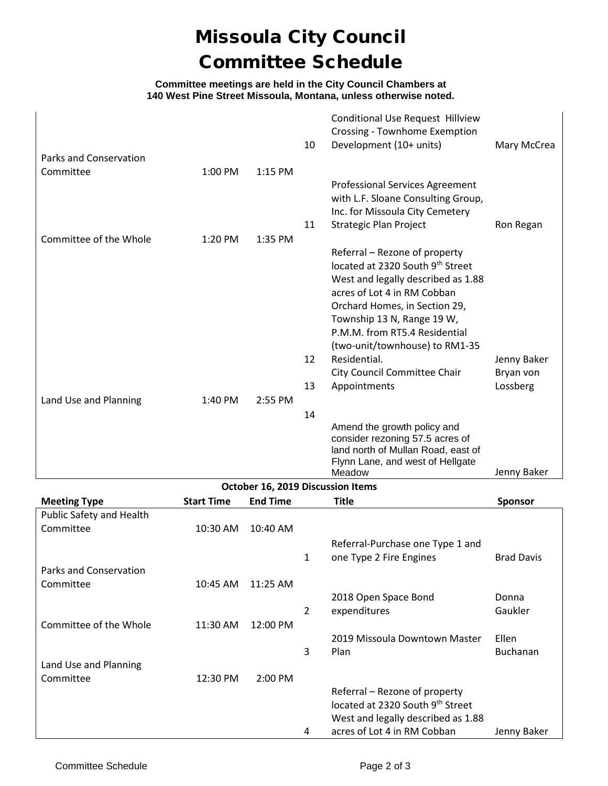# Missoula City Council Committee Schedule

#### **Committee meetings are held in the City Council Chambers at 140 West Pine Street Missoula, Montana, unless otherwise noted.**

|                        |           |           |    | <b>Conditional Use Request Hillview</b><br>Crossing - Townhome Exemption     |             |
|------------------------|-----------|-----------|----|------------------------------------------------------------------------------|-------------|
|                        |           |           | 10 | Development (10+ units)                                                      | Mary McCrea |
| Parks and Conservation |           |           |    |                                                                              |             |
| Committee              | $1:00$ PM | $1:15$ PM |    |                                                                              |             |
|                        |           |           |    | <b>Professional Services Agreement</b><br>with L.F. Sloane Consulting Group, |             |
|                        |           |           |    | Inc. for Missoula City Cemetery                                              |             |
|                        |           |           | 11 | Strategic Plan Project                                                       | Ron Regan   |
| Committee of the Whole | 1:20 PM   | 1:35 PM   |    |                                                                              |             |
|                        |           |           |    | Referral – Rezone of property                                                |             |
|                        |           |           |    | located at 2320 South 9th Street                                             |             |
|                        |           |           |    | West and legally described as 1.88                                           |             |
|                        |           |           |    | acres of Lot 4 in RM Cobban                                                  |             |
|                        |           |           |    | Orchard Homes, in Section 29,<br>Township 13 N, Range 19 W,                  |             |
|                        |           |           |    | P.M.M. from RT5.4 Residential                                                |             |
|                        |           |           |    | (two-unit/townhouse) to RM1-35                                               |             |
|                        |           |           | 12 | Residential.                                                                 | Jenny Baker |
|                        |           |           |    | City Council Committee Chair                                                 | Bryan von   |
|                        |           |           | 13 | Appointments                                                                 | Lossberg    |
| Land Use and Planning  | 1:40 PM   | 2:55 PM   |    |                                                                              |             |
|                        |           |           | 14 |                                                                              |             |
|                        |           |           |    | Amend the growth policy and                                                  |             |
|                        |           |           |    | consider rezoning 57.5 acres of                                              |             |
|                        |           |           |    | land north of Mullan Road, east of<br>Flynn Lane, and west of Hellgate       |             |
|                        |           |           |    | Meadow                                                                       | Jenny Baker |

| October 16, 2019 Discussion Items |                   |                 |              |                                    |                   |
|-----------------------------------|-------------------|-----------------|--------------|------------------------------------|-------------------|
| <b>Meeting Type</b>               | <b>Start Time</b> | <b>End Time</b> |              | Title                              | <b>Sponsor</b>    |
| Public Safety and Health          |                   |                 |              |                                    |                   |
| Committee                         | 10:30 AM          | 10:40 AM        |              |                                    |                   |
|                                   |                   |                 |              | Referral-Purchase one Type 1 and   |                   |
|                                   |                   |                 | $\mathbf{1}$ | one Type 2 Fire Engines            | <b>Brad Davis</b> |
| Parks and Conservation            |                   |                 |              |                                    |                   |
| Committee                         | 10:45 AM          | $11:25$ AM      |              |                                    |                   |
|                                   |                   |                 |              | 2018 Open Space Bond               | Donna             |
|                                   |                   |                 | 2            | expenditures                       | Gaukler           |
| Committee of the Whole            | 11:30 AM          | 12:00 PM        |              |                                    |                   |
|                                   |                   |                 |              | 2019 Missoula Downtown Master      | Ellen             |
|                                   |                   |                 | 3            | Plan                               | <b>Buchanan</b>   |
| Land Use and Planning             |                   |                 |              |                                    |                   |
| Committee                         | 12:30 PM          | 2:00 PM         |              |                                    |                   |
|                                   |                   |                 |              | Referral – Rezone of property      |                   |
|                                   |                   |                 |              | located at 2320 South 9th Street   |                   |
|                                   |                   |                 |              | West and legally described as 1.88 |                   |
|                                   |                   |                 | 4            | acres of Lot 4 in RM Cobban        | Jenny Baker       |